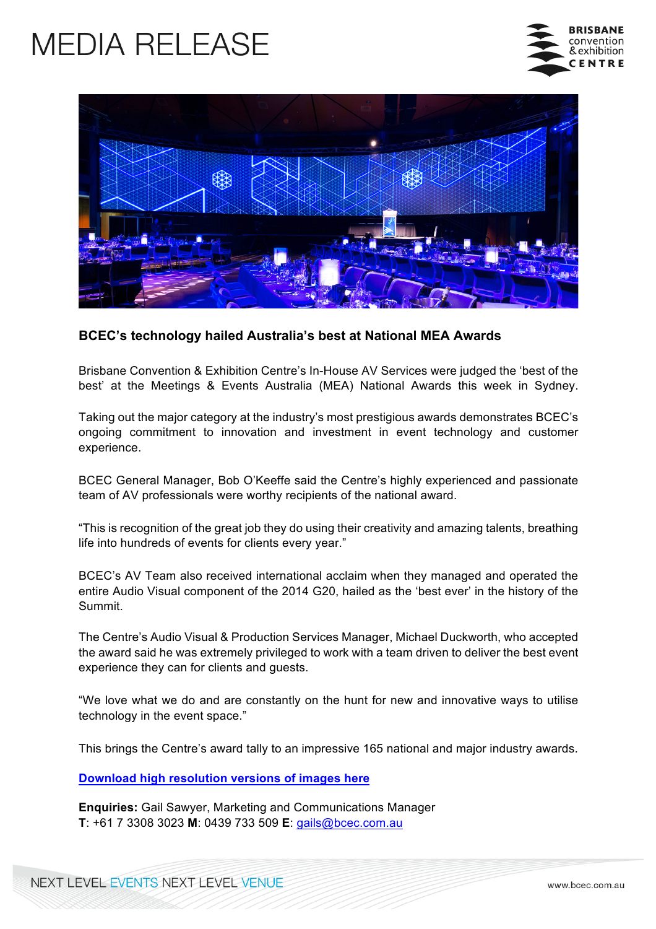## **MEDIA RELEASE**





## **BCEC's technology hailed Australia's best at National MEA Awards**

Brisbane Convention & Exhibition Centre's In-House AV Services were judged the 'best of the best' at the Meetings & Events Australia (MEA) National Awards this week in Sydney.

Taking out the major category at the industry's most prestigious awards demonstrates BCEC's ongoing commitment to innovation and investment in event technology and customer experience.

BCEC General Manager, Bob O'Keeffe said the Centre's highly experienced and passionate team of AV professionals were worthy recipients of the national award.

"This is recognition of the great job they do using their creativity and amazing talents, breathing life into hundreds of events for clients every year."

BCEC's AV Team also received international acclaim when they managed and operated the entire Audio Visual component of the 2014 G20, hailed as the 'best ever' in the history of the Summit.

The Centre's Audio Visual & Production Services Manager, Michael Duckworth, who accepted the award said he was extremely privileged to work with a team driven to deliver the best event experience they can for clients and guests.

"We love what we do and are constantly on the hunt for new and innovative ways to utilise technology in the event space."

This brings the Centre's award tally to an impressive 165 national and major industry awards.

**Download high resolution versions of images here**

**Enquiries:** Gail Sawyer, Marketing and Communications Manager **T**: +61 7 3308 3023 **M**: 0439 733 509 **E**: gails@bcec.com.au